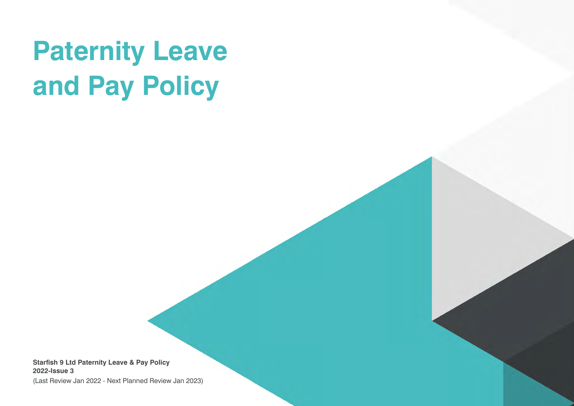# **Paternity Leave and Pay Policy**

**Starfish 9 Ltd Paternity Leave & Pay Policy 2022-Issue 3**

(Last Review Jan 2022 - Next Planned Review Jan 2023)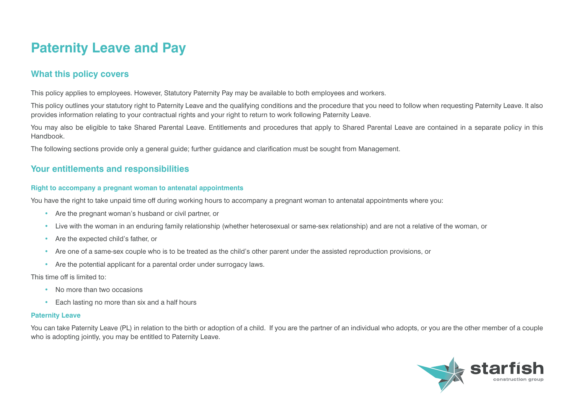# **Paternity Leave and Pay**

# **What this policy covers**

This policy applies to employees. However, Statutory Paternity Pay may be available to both employees and workers.

This policy outlines your statutory right to Paternity Leave and the qualifying conditions and the procedure that you need to follow when requesting Paternity Leave. It also provides information relating to your contractual rights and your right to return to work following Paternity Leave.

You may also be eligible to take Shared Parental Leave. Entitlements and procedures that apply to Shared Parental Leave are contained in a separate policy in this Handbook.

The following sections provide only a general guide; further guidance and clarification must be sought from Management.

## **Your entitlements and responsibilities**

#### **Right to accompany a pregnant woman to antenatal appointments**

You have the right to take unpaid time off during working hours to accompany a pregnant woman to antenatal appointments where you:

- Are the pregnant woman's husband or civil partner, or
- Live with the woman in an enduring family relationship (whether heterosexual or same-sex relationship) and are not a relative of the woman, or
- Are the expected child's father, or
- Are one of a same-sex couple who is to be treated as the child's other parent under the assisted reproduction provisions, or
- Are the potential applicant for a parental order under surrogacy laws.

This time off is limited to:

- No more than two occasions
- Each lasting no more than six and a half hours

#### **Paternity Leave**

You can take Paternity Leave (PL) in relation to the birth or adoption of a child. If you are the partner of an individual who adopts, or you are the other member of a couple who is adopting jointly, you may be entitled to Paternity Leave.

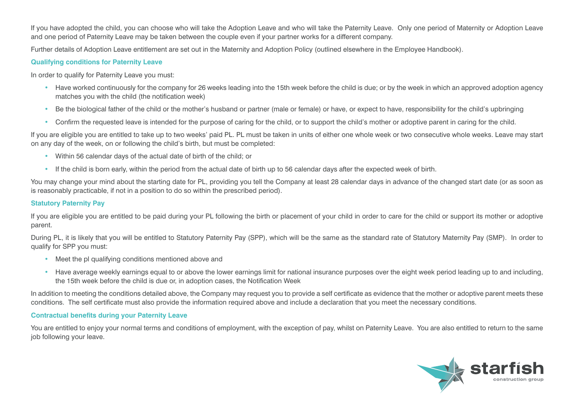If you have adopted the child, you can choose who will take the Adoption Leave and who will take the Paternity Leave. Only one period of Maternity or Adoption Leave and one period of Paternity Leave may be taken between the couple even if your partner works for a different company.

Further details of Adoption Leave entitlement are set out in the Maternity and Adoption Policy (outlined elsewhere in the Employee Handbook).

#### **Qualifying conditions for Paternity Leave**

In order to qualify for Paternity Leave you must:

- Have worked continuously for the company for 26 weeks leading into the 15th week before the child is due; or by the week in which an approved adoption agency matches you with the child (the notification week)
- Be the biological father of the child or the mother's husband or partner (male or female) or have, or expect to have, responsibility for the child's upbringing
- Confirm the requested leave is intended for the purpose of caring for the child, or to support the child's mother or adoptive parent in caring for the child.

If you are eligible you are entitled to take up to two weeks' paid PL. PL must be taken in units of either one whole week or two consecutive whole weeks. Leave may start on any day of the week, on or following the child's birth, but must be completed:

- Within 56 calendar days of the actual date of birth of the child; or
- If the child is born early, within the period from the actual date of birth up to 56 calendar days after the expected week of birth.

You may change your mind about the starting date for PL, providing you tell the Company at least 28 calendar days in advance of the changed start date (or as soon as is reasonably practicable, if not in a position to do so within the prescribed period).

#### **Statutory Paternity Pay**

If you are eligible you are entitled to be paid during your PL following the birth or placement of your child in order to care for the child or support its mother or adoptive parent.

During PL, it is likely that you will be entitled to Statutory Paternity Pay (SPP), which will be the same as the standard rate of Statutory Maternity Pay (SMP). In order to qualify for SPP you must:

- Meet the pl qualifying conditions mentioned above and
- Have average weekly earnings equal to or above the lower earnings limit for national insurance purposes over the eight week period leading up to and including, the 15th week before the child is due or, in adoption cases, the Notification Week

In addition to meeting the conditions detailed above, the Company may request you to provide a self certificate as evidence that the mother or adoptive parent meets these conditions. The self certificate must also provide the information required above and include a declaration that you meet the necessary conditions.

#### **Contractual benefits during your Paternity Leave**

You are entitled to enjoy your normal terms and conditions of employment, with the exception of pay, whilst on Paternity Leave. You are also entitled to return to the same job following your leave.

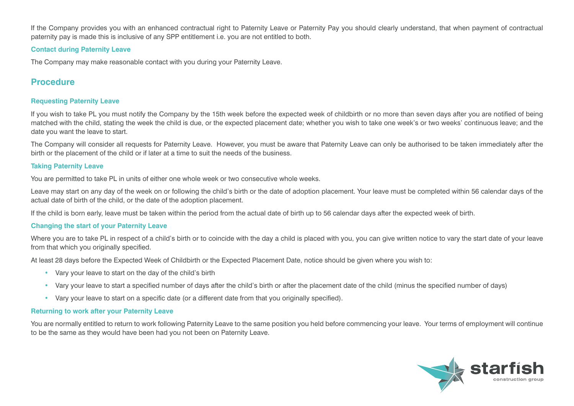If the Company provides you with an enhanced contractual right to Paternity Leave or Paternity Pay you should clearly understand, that when payment of contractual paternity pay is made this is inclusive of any SPP entitlement i.e. you are not entitled to both.

#### **Contact during Paternity Leave**

The Company may make reasonable contact with you during your Paternity Leave.

## **Procedure**

#### **Requesting Paternity Leave**

If you wish to take PL you must notify the Company by the 15th week before the expected week of childbirth or no more than seven days after you are notified of being matched with the child, stating the week the child is due, or the expected placement date; whether you wish to take one week's or two weeks' continuous leave; and the date you want the leave to start.

The Company will consider all requests for Paternity Leave. However, you must be aware that Paternity Leave can only be authorised to be taken immediately after the birth or the placement of the child or if later at a time to suit the needs of the business.

#### **Taking Paternity Leave**

You are permitted to take PL in units of either one whole week or two consecutive whole weeks.

Leave may start on any day of the week on or following the child's birth or the date of adoption placement. Your leave must be completed within 56 calendar days of the actual date of birth of the child, or the date of the adoption placement.

If the child is born early, leave must be taken within the period from the actual date of birth up to 56 calendar days after the expected week of birth.

#### **Changing the start of your Paternity Leave**

Where you are to take PL in respect of a child's birth or to coincide with the day a child is placed with you, you can give written notice to vary the start date of your leave from that which you originally specified.

At least 28 days before the Expected Week of Childbirth or the Expected Placement Date, notice should be given where you wish to:

- Vary your leave to start on the day of the child's birth
- Vary your leave to start a specified number of days after the child's birth or after the placement date of the child (minus the specified number of days)
- Vary your leave to start on a specific date (or a different date from that you originally specified).

#### **Returning to work after your Paternity Leave**

You are normally entitled to return to work following Paternity Leave to the same position you held before commencing your leave. Your terms of employment will continue to be the same as they would have been had you not been on Paternity Leave.